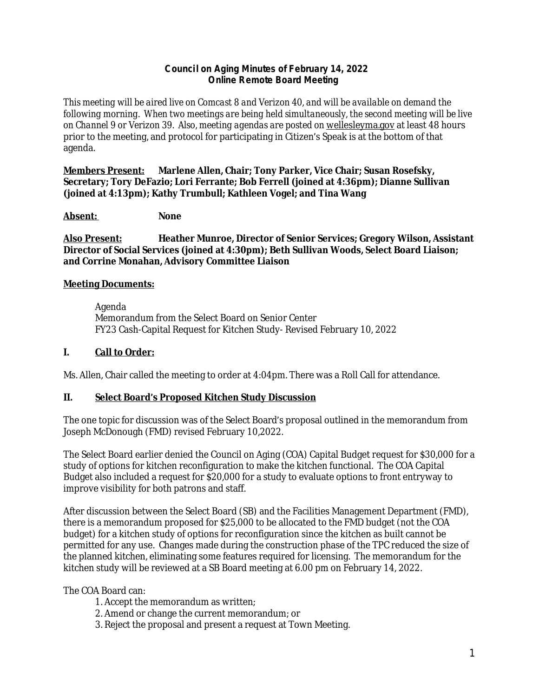### **Counci l on Aging Minutes of February 14, 2022 Online Remote Board Meeting**

*This meeting will be aired live on Comcast 8 and Verizon 40, and will be available on demand the following morning. When two meetings are being held simultaneously, the second meeting will be live*  on Channel 9 or Verizon 39. Also, meeting agendas are posted on [wellesleyma.gov](http://wellesleyma.gov) at least 48 hours prior to the meeting, and protocol for participating in Citizen's Speak is at the bottom of that agenda.

**Members Present: Marlene Allen, Chair; Tony Parker, Vice Chair; Susan Rosefsky, Secretary; Tory DeFazio; Lori Ferrante; Bob Ferrell (joined at 4:36pm); Dianne Sullivan (joined at 4:13pm); Kathy Trumbull; Kathleen Vogel; and Tina Wang**

**Absent: None**

**Also Present: Heather Munroe, Director of Senior Services; Gregory Wilson, Assistant Director of Social Services (joined at 4:30pm); Beth Sullivan Woods, Select Board Liaison; and Corrine Monahan, Advisory Committee Liaison**

## **Meeting Documents:**

Agenda Memorandum from the Select Board on Senior Center FY23 Cash-Capital Request for Kitchen Study- Revised February 10, 2022

# **I. Call to Order:**

Ms. Allen, Chair called the meeting to order at 4:04pm. There was a Roll Call for attendance.

## **II. Select Board's Proposed Kitchen Study Discussion**

The one topic for discussion was of the Select Board's proposal outlined in the memorandum from Joseph McDonough (FMD) revised February 10,2022.

The Select Board earlier denied the Council on Aging (COA) Capital Budget request for \$30,000 for a study of options for kitchen reconfiguration to make the kitchen functional. The COA Capital Budget also included a request for \$20,000 for a study to evaluate options to front entryway to improve visibility for both patrons and staff.

After discussion between the Select Board (SB) and the Facilities Management Department (FMD), there is a memorandum proposed for \$25,000 to be allocated to the FMD budget (not the COA budget) for a kitchen study of options for reconfiguration since the kitchen as built cannot be permitted for any use. Changes made during the construction phase of the TPC reduced the size of the planned kitchen, eliminating some features required for licensing. The memorandum for the kitchen study will be reviewed at a SB Board meeting at 6.00 pm on February 14, 2022.

The COA Board can:

- 1. Accept the memorandum as written;
- 2. Amend or change the current memorandum; or
- 3. Reject the proposal and present a request at Town Meeting.